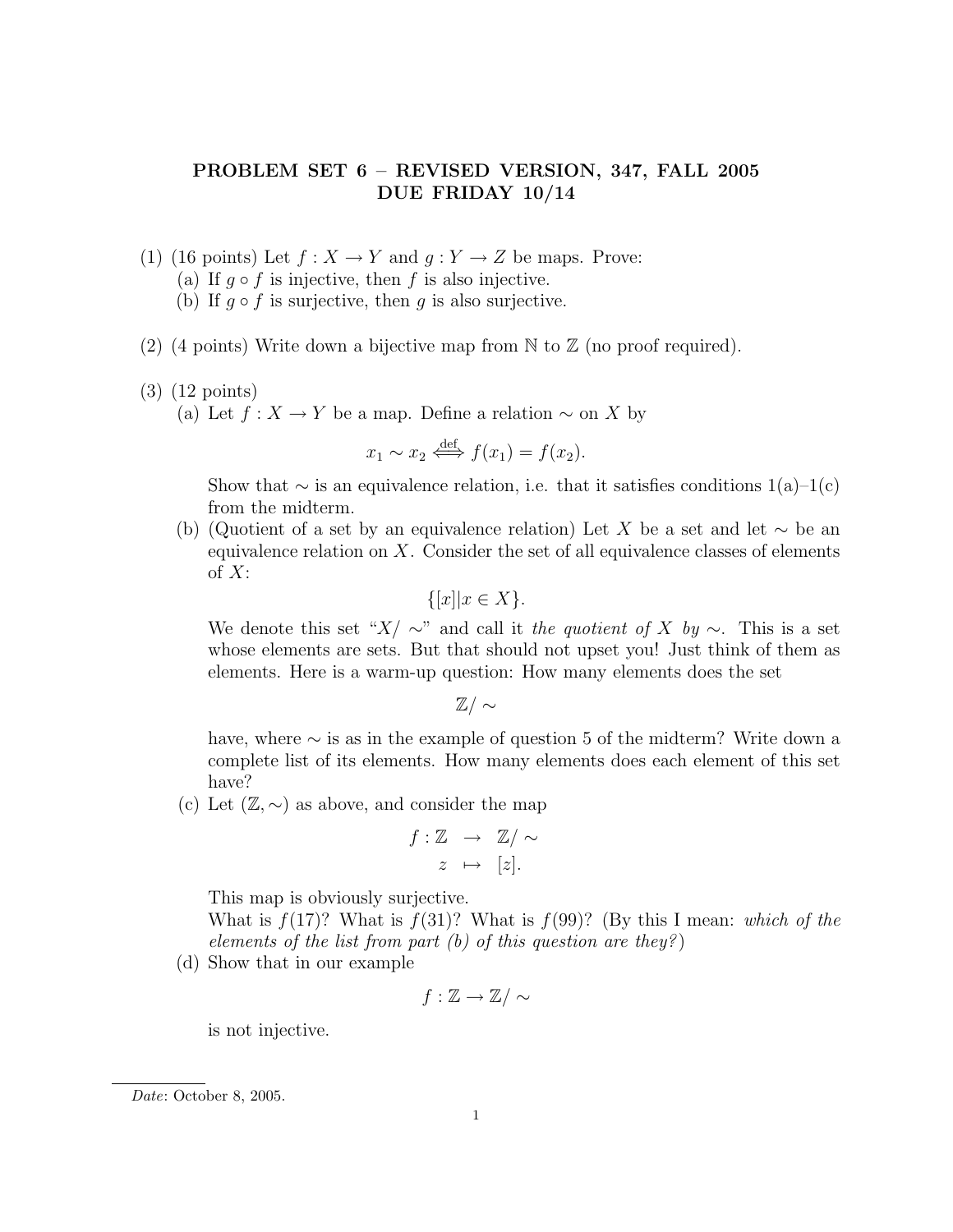## PROBLEM SET 6 – REVISED VERSION, 347, FALL 2005 DUE FRIDAY 10/14

- (1) (16 points) Let  $f: X \to Y$  and  $q: Y \to Z$  be maps. Prove:
	- (a) If  $q \circ f$  is injective, then f is also injective.
	- (b) If  $q \circ f$  is surjective, then q is also surjective.
- (2) (4 points) Write down a bijective map from  $\mathbb N$  to  $\mathbb Z$  (no proof required).
- (3) (12 points)

(a) Let  $f: X \to Y$  be a map. Define a relation  $\sim$  on X by

$$
x_1 \sim x_2 \stackrel{\text{def}}{\iff} f(x_1) = f(x_2).
$$

Show that  $\sim$  is an equivalence relation, i.e. that it satisfies conditions 1(a)–1(c) from the midterm.

(b) (Quotient of a set by an equivalence relation) Let X be a set and let  $\sim$  be an equivalence relation on  $X$ . Consider the set of all equivalence classes of elements of  $X$ :

$$
\{[x]|x \in X\}.
$$

We denote this set " $X/\sim$ " and call it the quotient of X by  $\sim$ . This is a set whose elements are sets. But that should not upset you! Just think of them as elements. Here is a warm-up question: How many elements does the set

 $\mathbb{Z}/\sim$ 

have, where ∼ is as in the example of question 5 of the midterm? Write down a complete list of its elements. How many elements does each element of this set have?

(c) Let  $(\mathbb{Z}, \sim)$  as above, and consider the map

$$
f: \mathbb{Z} \longrightarrow \mathbb{Z}/\sim
$$

$$
z \mapsto [z].
$$

This map is obviously surjective.

What is  $f(17)$ ? What is  $f(31)$ ? What is  $f(99)$ ? (By this I mean: which of the elements of the list from part (b) of this question are they?)

(d) Show that in our example

$$
f:\mathbb{Z}\to\mathbb{Z}/\sim
$$

is not injective.

Date: October 8, 2005.